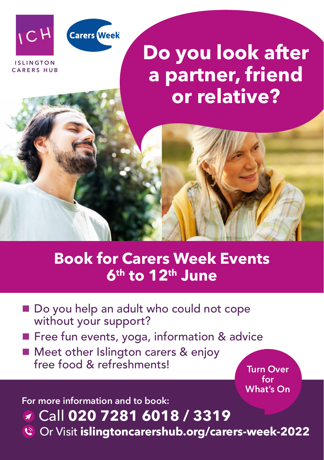



**ISLINGTON CARERS HUB**

# **Do you look after a partner, friend or relative?**

## **Book for Carers Week Events 6th to 12th June**

- Do you help an adult who could not cope without your support?
- **Filter** Free fun events, yoga, information & advice
- Meet other Islington carers & enjoy free food & refreshments!

**Turn Over for What's On**

**For more information and to book:**

#### Call **020 7281 6018 / 3319**

Or Visit **islingtoncarershub.org/carers-week-2022**